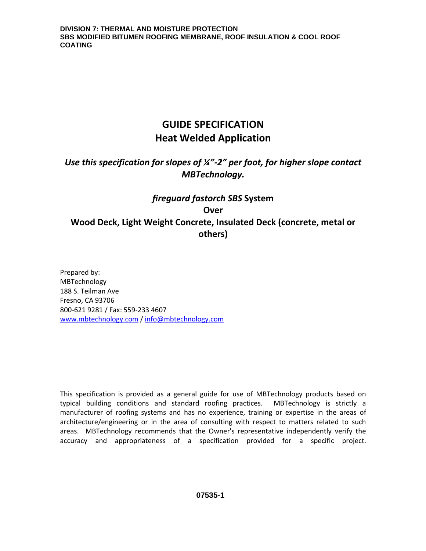# **GUIDE SPECIFICATION Heat Welded Application**

# *Use this specification for slopes of ¼"-2" per foot, for higher slope contact MBTechnology.*

# *fireguard fastorch SBS* **System Over Wood Deck, Light Weight Concrete, Insulated Deck (concrete, metal or others)**

Prepared by: MBTechnology 188 S. Teilman Ave Fresno, CA 93706 800-621 9281 / Fax: 559-233 4607 [www.mbtechnology.com](http://www.mbtechnology.com/) / [info@mbtechnology.com](mailto:info@mbtechnology.com)

This specification is provided as a general guide for use of MBTechnology products based on typical building conditions and standard roofing practices. MBTechnology is strictly a manufacturer of roofing systems and has no experience, training or expertise in the areas of architecture/engineering or in the area of consulting with respect to matters related to such areas. MBTechnology recommends that the Owner's representative independently verify the accuracy and appropriateness of a specification provided for a specific project.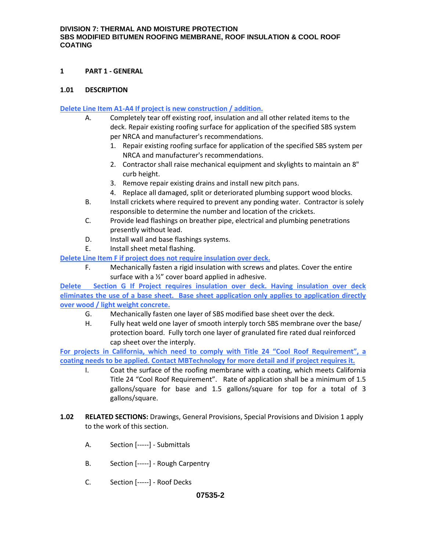#### **1 PART 1 - GENERAL**

### **1.01 DESCRIPTION**

#### **Delete Line Item A1-A4 If project is new construction / addition.**

- A. Completely tear off existing roof, insulation and all other related items to the deck. Repair existing roofing surface for application of the specified SBS system per NRCA and manufacturer's recommendations.
	- 1. Repair existing roofing surface for application of the specified SBS system per NRCA and manufacturer's recommendations.
	- 2. Contractor shall raise mechanical equipment and skylights to maintain an 8" curb height.
	- 3. Remove repair existing drains and install new pitch pans.
	- 4. Replace all damaged, split or deteriorated plumbing support wood blocks.
- B. Install crickets where required to prevent any ponding water. Contractor is solely responsible to determine the number and location of the crickets.
- C. Provide lead flashings on breather pipe, electrical and plumbing penetrations presently without lead.
- D. Install wall and base flashings systems.
- E. Install sheet metal flashing.

**Delete Line Item F if project does not require insulation over deck.**

F. Mechanically fasten a rigid insulation with screws and plates. Cover the entire surface with a ½" cover board applied in adhesive.

**Delete Section G If Project requires insulation over deck. Having insulation over deck eliminates the use of a base sheet. Base sheet application only applies to application directly over wood / light weight concrete.**

- G. Mechanically fasten one layer of SBS modified base sheet over the deck.
- H. Fully heat weld one layer of smooth interply torch SBS membrane over the base/ protection board. Fully torch one layer of granulated fire rated dual reinforced cap sheet over the interply.

**For projects in California, which need to comply with Title 24 "Cool Roof Requirement", a coating needs to be applied. Contact MBTechnology for more detail and if project requires it.**

- I. Coat the surface of the roofing membrane with a coating, which meets California Title 24 "Cool Roof Requirement". Rate of application shall be a minimum of 1.5 gallons/square for base and 1.5 gallons/square for top for a total of 3 gallons/square.
- **1.02 RELATED SECTIONS:** Drawings, General Provisions, Special Provisions and Division 1 apply to the work of this section.
	- A. Section [-----] Submittals
	- B. Section [-----] Rough Carpentry
	- C. Section [-----] Roof Decks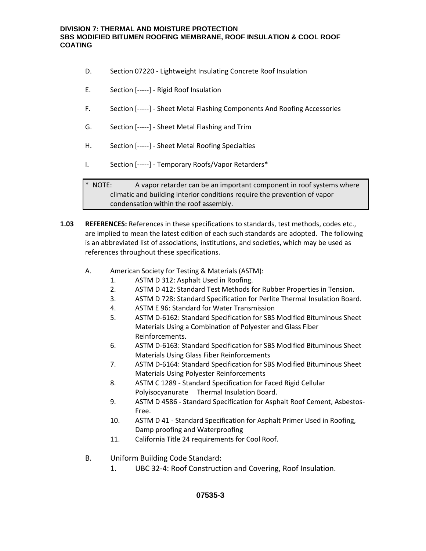- D. Section 07220 Lightweight Insulating Concrete Roof Insulation
- E. Section [-----] Rigid Roof Insulation
- F. Section [-----] Sheet Metal Flashing Components And Roofing Accessories
- G. Section [-----] Sheet Metal Flashing and Trim
- H. Section [-----] Sheet Metal Roofing Specialties
- I. Section [-----] Temporary Roofs/Vapor Retarders\*

\* NOTE: A vapor retarder can be an important component in roof systems where climatic and building interior conditions require the prevention of vapor condensation within the roof assembly.

- **1.03 REFERENCES:** References in these specifications to standards, test methods, codes etc., are implied to mean the latest edition of each such standards are adopted. The following is an abbreviated list of associations, institutions, and societies, which may be used as references throughout these specifications.
	- A. American Society for Testing & Materials (ASTM):
		- 1. ASTM D 312: Asphalt Used in Roofing.
		- 2. ASTM D 412: Standard Test Methods for Rubber Properties in Tension.
		- 3. ASTM D 728: Standard Specification for Perlite Thermal Insulation Board.
		- 4. ASTM E 96: Standard for Water Transmission
		- 5. ASTM D-6162: Standard Specification for SBS Modified Bituminous Sheet Materials Using a Combination of Polyester and Glass Fiber Reinforcements.
		- 6. ASTM D-6163: Standard Specification for SBS Modified Bituminous Sheet Materials Using Glass Fiber Reinforcements
		- 7. ASTM D-6164: Standard Specification for SBS Modified Bituminous Sheet Materials Using Polyester Reinforcements
		- 8. ASTM C 1289 Standard Specification for Faced Rigid Cellular Polyisocyanurate Thermal Insulation Board.
		- 9. ASTM D 4586 Standard Specification for Asphalt Roof Cement, Asbestos-Free.
		- 10. ASTM D 41 Standard Specification for Asphalt Primer Used in Roofing, Damp proofing and Waterproofing
		- 11. California Title 24 requirements for Cool Roof.
	- B. Uniform Building Code Standard:
		- 1. UBC 32-4: Roof Construction and Covering, Roof Insulation.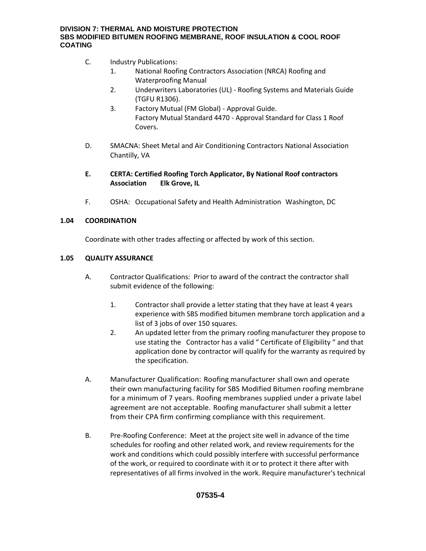- C. Industry Publications:
	- 1. National Roofing Contractors Association (NRCA) Roofing and Waterproofing Manual
	- 2. Underwriters Laboratories (UL) Roofing Systems and Materials Guide (TGFU R1306).
	- 3. Factory Mutual (FM Global) Approval Guide. Factory Mutual Standard 4470 - Approval Standard for Class 1 Roof Covers.
- D. SMACNA: Sheet Metal and Air Conditioning Contractors National Association Chantilly, VA
- **E. CERTA: Certified Roofing Torch Applicator, By National Roof contractors Association Elk Grove, IL**
- F. OSHA: Occupational Safety and Health Administration Washington, DC

#### **1.04 COORDINATION**

Coordinate with other trades affecting or affected by work of this section.

#### **1.05 QUALITY ASSURANCE**

- A. Contractor Qualifications: Prior to award of the contract the contractor shall submit evidence of the following:
	- 1. Contractor shall provide a letter stating that they have at least 4 years experience with SBS modified bitumen membrane torch application and a list of 3 jobs of over 150 squares.
	- 2. An updated letter from the primary roofing manufacturer they propose to use stating the Contractor has a valid " Certificate of Eligibility " and that application done by contractor will qualify for the warranty as required by the specification.
- A. Manufacturer Qualification: Roofing manufacturer shall own and operate their own manufacturing facility for SBS Modified Bitumen roofing membrane for a minimum of 7 years. Roofing membranes supplied under a private label agreement are not acceptable. Roofing manufacturer shall submit a letter from their CPA firm confirming compliance with this requirement.
- B. Pre-Roofing Conference: Meet at the project site well in advance of the time schedules for roofing and other related work, and review requirements for the work and conditions which could possibly interfere with successful performance of the work, or required to coordinate with it or to protect it there after with representatives of all firms involved in the work. Require manufacturer's technical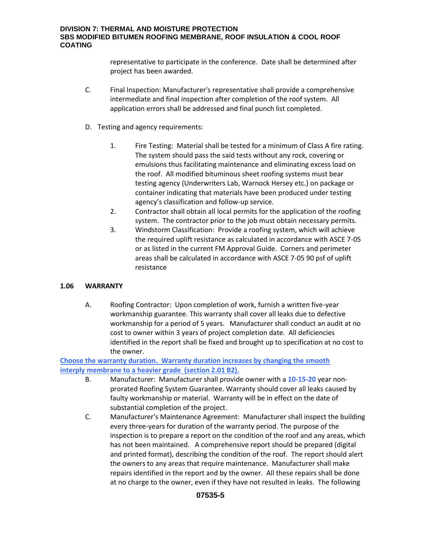representative to participate in the conference. Date shall be determined after project has been awarded.

- C. Final Inspection: Manufacturer's representative shall provide a comprehensive intermediate and final inspection after completion of the roof system. All application errors shall be addressed and final punch list completed.
- D. Testing and agency requirements:
	- 1. Fire Testing: Material shall be tested for a minimum of Class A fire rating. The system should pass the said tests without any rock, covering or emulsions thus facilitating maintenance and eliminating excess load on the roof. All modified bituminous sheet roofing systems must bear testing agency (Underwriters Lab, Warnock Hersey etc.) on package or container indicating that materials have been produced under testing agency's classification and follow-up service.
	- 2. Contractor shall obtain all local permits for the application of the roofing system. The contractor prior to the job must obtain necessary permits.
	- 3. Windstorm Classification: Provide a roofing system, which will achieve the required uplift resistance as calculated in accordance with ASCE 7-05 or as listed in the current FM Approval Guide. Corners and perimeter areas shall be calculated in accordance with ASCE 7-05 90 psf of uplift resistance

# **1.06 WARRANTY**

A. Roofing Contractor: Upon completion of work, furnish a written five-year workmanship guarantee. This warranty shall cover all leaks due to defective workmanship for a period of 5 years. Manufacturer shall conduct an audit at no cost to owner within 3 years of project completion date. All deficiencies identified in the report shall be fixed and brought up to specification at no cost to the owner.

**Choose the warranty duration. Warranty duration increases by changing the smooth interply membrane to a heavier grade (section 2.01 B2).** 

- B. Manufacturer: Manufacturer shall provide owner with a **10-15-20** year nonprorated Roofing System Guarantee. Warranty should cover all leaks caused by faulty workmanship or material. Warranty will be in effect on the date of substantial completion of the project.
- C. Manufacturer's Maintenance Agreement: Manufacturer shall inspect the building every three-years for duration of the warranty period. The purpose of the inspection is to prepare a report on the condition of the roof and any areas, which has not been maintained. A comprehensive report should be prepared (digital and printed format), describing the condition of the roof. The report should alert the owners to any areas that require maintenance. Manufacturer shall make repairs identified in the report and by the owner. All these repairs shall be done at no charge to the owner, even if they have not resulted in leaks. The following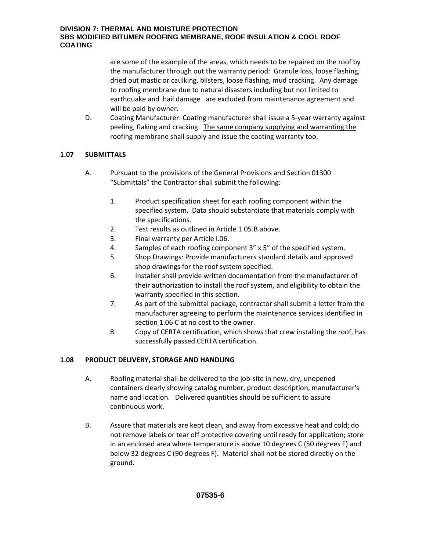are some of the example of the areas, which needs to be repaired on the roof by the manufacturer through out the warranty period: Granule loss, loose flashing, dried out mastic or caulking, blisters, loose flashing, mud cracking. Any damage to roofing membrane due to natural disasters including but not limited to earthquake and hail damage are excluded from maintenance agreement and will be paid by owner.

D. Coating Manufacturer: Coating manufacturer shall issue a 5-year warranty against peeling, flaking and cracking. The same company supplying and warranting the roofing membrane shall supply and issue the coating warranty too.

# **1.07 SUBMITTALS**

- A. Pursuant to the provisions of the General Provisions and Section 01300 "Submittals" the Contractor shall submit the following:
	- 1. Product specification sheet for each roofing component within the specified system. Data should substantiate that materials comply with the specifications.
	- 2. Test results as outlined in Article 1.05.B above.
	- 3. Final warranty per Article l.06.
	- 4. Samples of each roofing component 3" x 5" of the specified system.
	- 5. Shop Drawings: Provide manufacturers standard details and approved shop drawings for the roof system specified.
	- 6. Installer shall provide written documentation from the manufacturer of their authorization to install the roof system, and eligibility to obtain the warranty specified in this section.
	- 7. As part of the submittal package, contractor shall submit a letter from the manufacturer agreeing to perform the maintenance services identified in section 1.06 C at no cost to the owner.
	- 8. Copy of CERTA certification, which shows that crew installing the roof, has successfully passed CERTA certification.

# **1.08 PRODUCT DELIVERY, STORAGE AND HANDLING**

- A. Roofing material shall be delivered to the job-site in new, dry, unopened containers clearly showing catalog number, product description, manufacturer's name and location. Delivered quantities should be sufficient to assure continuous work.
- B. Assure that materials are kept clean, and away from excessive heat and cold; do not remove labels or tear off protective covering until ready for application; store in an enclosed area where temperature is above 10 degrees C (50 degrees F) and below 32 degrees C (90 degrees F). Material shall not be stored directly on the ground.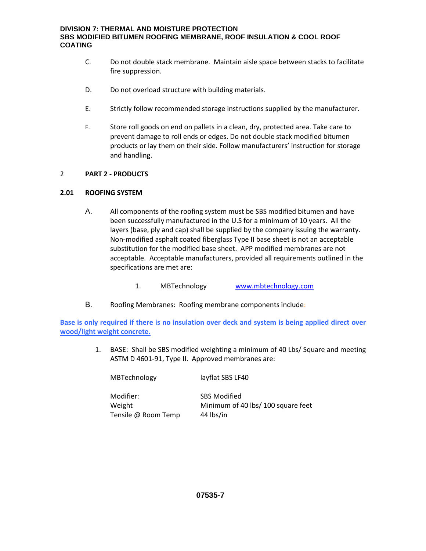- C. Do not double stack membrane. Maintain aisle space between stacks to facilitate fire suppression.
- D. Do not overload structure with building materials.
- E. Strictly follow recommended storage instructions supplied by the manufacturer.
- F. Store roll goods on end on pallets in a clean, dry, protected area. Take care to prevent damage to roll ends or edges. Do not double stack modified bitumen products or lay them on their side. Follow manufacturers' instruction for storage and handling.

#### 2 **PART 2 - PRODUCTS**

#### **2.01 ROOFING SYSTEM**

- A. All components of the roofing system must be SBS modified bitumen and have been successfully manufactured in the U.S for a minimum of 10 years. All the layers (base, ply and cap) shall be supplied by the company issuing the warranty. Non-modified asphalt coated fiberglass Type II base sheet is not an acceptable substitution for the modified base sheet. APP modified membranes are not acceptable. Acceptable manufacturers, provided all requirements outlined in the specifications are met are:
	- 1. MBTechnology [www.mbtechnology.com](http://www.mbtechnology.com/)
- B. Roofing Membranes: Roofing membrane components include:

**Base is only required if there is no insulation over deck and system is being applied direct over wood/light weight concrete.** 

> 1. BASE: Shall be SBS modified weighting a minimum of 40 Lbs/ Square and meeting ASTM D 4601-91, Type II. Approved membranes are:

MBTechnology layflat SBS LF40

Modifier: SBS Modified Tensile @ Room Temp 44 lbs/in

Weight Minimum of 40 lbs/ 100 square feet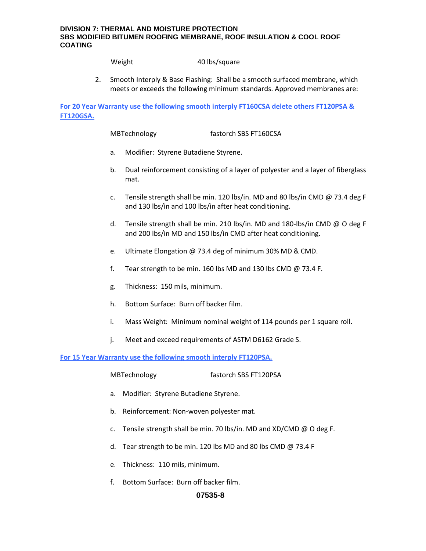Weight 40 lbs/square

2. Smooth Interply & Base Flashing: Shall be a smooth surfaced membrane, which meets or exceeds the following minimum standards. Approved membranes are:

**For 20 Year Warranty use the following smooth interply FT160CSA delete others FT120PSA & FT120GSA.** 

MBTechnology fastorch SBS FT160CSA

- a. Modifier: Styrene Butadiene Styrene.
- b. Dual reinforcement consisting of a layer of polyester and a layer of fiberglass mat.
- c. Tensile strength shall be min. 120 lbs/in. MD and 80 lbs/in CMD @ 73.4 deg F and 130 lbs/in and 100 lbs/in after heat conditioning.
- d. Tensile strength shall be min. 210 lbs/in. MD and 180-lbs/in CMD @ O deg F and 200 lbs/in MD and 150 lbs/in CMD after heat conditioning.
- e. Ultimate Elongation @ 73.4 deg of minimum 30% MD & CMD.
- f. Tear strength to be min. 160 lbs MD and 130 lbs CMD @ 73.4 F.
- g. Thickness: 150 mils, minimum.
- h. Bottom Surface: Burn off backer film.
- i. Mass Weight: Minimum nominal weight of 114 pounds per 1 square roll.
- j. Meet and exceed requirements of ASTM D6162 Grade S.

**For 15 Year Warranty use the following smooth interply FT120PSA.** 

MBTechnology fastorch SBS FT120PSA

- a. Modifier: Styrene Butadiene Styrene.
- b. Reinforcement: Non-woven polyester mat.
- c. Tensile strength shall be min. 70 lbs/in. MD and XD/CMD @ O deg F.
- d. Tear strength to be min. 120 lbs MD and 80 lbs CMD @ 73.4 F
- e. Thickness: 110 mils, minimum.
- f. Bottom Surface: Burn off backer film.

#### **07535-8**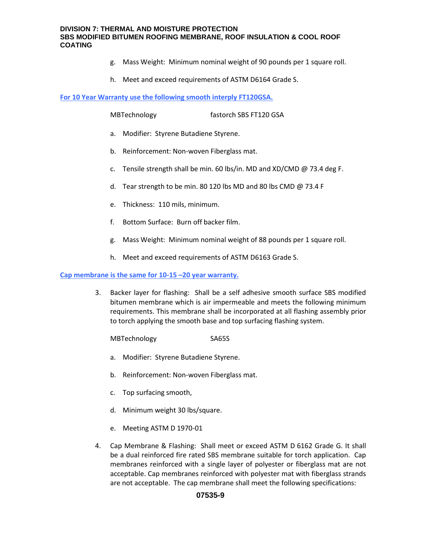- g. Mass Weight: Minimum nominal weight of 90 pounds per 1 square roll.
- h. Meet and exceed requirements of ASTM D6164 Grade S.

**For 10 Year Warranty use the following smooth interply FT120GSA.** 

MBTechnology fastorch SBS FT120 GSA

- a. Modifier: Styrene Butadiene Styrene.
- b. Reinforcement: Non-woven Fiberglass mat.
- c. Tensile strength shall be min. 60 lbs/in. MD and XD/CMD @ 73.4 deg F.
- d. Tear strength to be min. 80 120 lbs MD and 80 lbs CMD @ 73.4 F
- e. Thickness: 110 mils, minimum.
- f. Bottom Surface: Burn off backer film.
- g. Mass Weight: Minimum nominal weight of 88 pounds per 1 square roll.
- h. Meet and exceed requirements of ASTM D6163 Grade S.

#### **Cap membrane is the same for 10-15 –20 year warranty.**

3. Backer layer for flashing: Shall be a self adhesive smooth surface SBS modified bitumen membrane which is air impermeable and meets the following minimum requirements. This membrane shall be incorporated at all flashing assembly prior to torch applying the smooth base and top surfacing flashing system.

MBTechnology SA65S

- a. Modifier: Styrene Butadiene Styrene.
- b. Reinforcement: Non-woven Fiberglass mat.
- c. Top surfacing smooth,
- d. Minimum weight 30 lbs/square.
- e. Meeting ASTM D 1970-01
- 4. Cap Membrane & Flashing: Shall meet or exceed ASTM D 6162 Grade G. It shall be a dual reinforced fire rated SBS membrane suitable for torch application. Cap membranes reinforced with a single layer of polyester or fiberglass mat are not acceptable. Cap membranes reinforced with polyester mat with fiberglass strands are not acceptable. The cap membrane shall meet the following specifications:

#### **07535-9**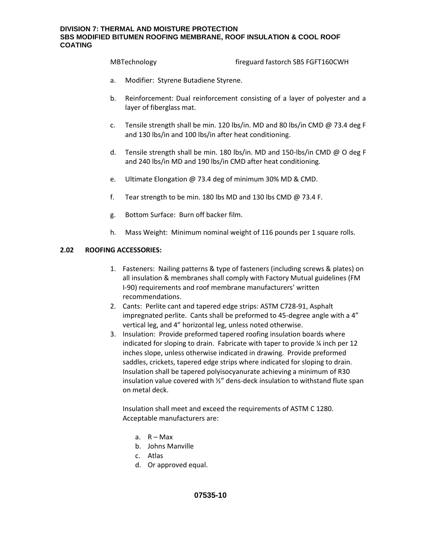MBTechnology fireguard fastorch SBS FGFT160CWH

- a. Modifier: Styrene Butadiene Styrene.
- b. Reinforcement: Dual reinforcement consisting of a layer of polyester and a layer of fiberglass mat.
- c. Tensile strength shall be min. 120 lbs/in. MD and 80 lbs/in CMD @ 73.4 deg F and 130 lbs/in and 100 lbs/in after heat conditioning.
- d. Tensile strength shall be min. 180 lbs/in. MD and 150-lbs/in CMD @ O deg F and 240 lbs/in MD and 190 lbs/in CMD after heat conditioning.
- e. Ultimate Elongation @ 73.4 deg of minimum 30% MD & CMD.
- f. Tear strength to be min. 180 lbs MD and 130 lbs CMD  $\omega$  73.4 F.
- g. Bottom Surface: Burn off backer film.
- h. Mass Weight: Minimum nominal weight of 116 pounds per 1 square rolls.

#### **2.02 ROOFING ACCESSORIES:**

- 1. Fasteners: Nailing patterns & type of fasteners (including screws & plates) on all insulation & membranes shall comply with Factory Mutual guidelines (FM I-90) requirements and roof membrane manufacturers' written recommendations.
- 2. Cants: Perlite cant and tapered edge strips: ASTM C728-91, Asphalt impregnated perlite. Cants shall be preformed to 45-degree angle with a 4" vertical leg, and 4" horizontal leg, unless noted otherwise.
- 3. Insulation: Provide preformed tapered roofing insulation boards where indicated for sloping to drain. Fabricate with taper to provide ¼ inch per 12 inches slope, unless otherwise indicated in drawing. Provide preformed saddles, crickets, tapered edge strips where indicated for sloping to drain. Insulation shall be tapered polyisocyanurate achieving a minimum of R30 insulation value covered with ½" dens-deck insulation to withstand flute span on metal deck.

Insulation shall meet and exceed the requirements of ASTM C 1280. Acceptable manufacturers are:

- a. R Max
- b. Johns Manville
- c. Atlas
- d. Or approved equal.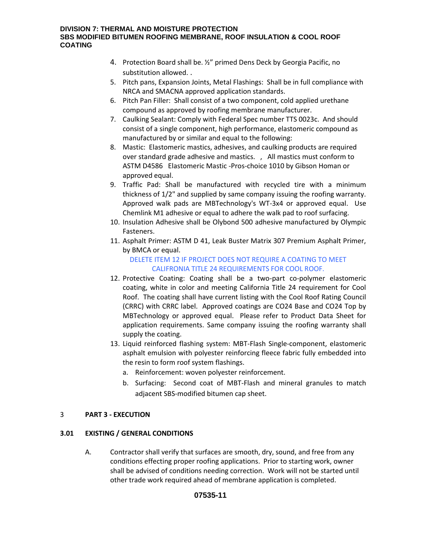- 4. Protection Board shall be. ½" primed Dens Deck by Georgia Pacific, no substitution allowed. .
- 5. Pitch pans, Expansion Joints, Metal Flashings: Shall be in full compliance with NRCA and SMACNA approved application standards.
- 6. Pitch Pan Filler: Shall consist of a two component, cold applied urethane compound as approved by roofing membrane manufacturer.
- 7. Caulking Sealant: Comply with Federal Spec number TTS 0023c. And should consist of a single component, high performance, elastomeric compound as manufactured by or similar and equal to the following:
- 8. Mastic: Elastomeric mastics, adhesives, and caulking products are required over standard grade adhesive and mastics. , All mastics must conform to ASTM D4586 Elastomeric Mastic -Pros-choice 1010 by Gibson Homan or approved equal.
- 9. Traffic Pad: Shall be manufactured with recycled tire with a minimum thickness of 1/2" and supplied by same company issuing the roofing warranty. Approved walk pads are MBTechnology's WT-3x4 or approved equal. Use Chemlink M1 adhesive or equal to adhere the walk pad to roof surfacing.
- 10. Insulation Adhesive shall be Olybond 500 adhesive manufactured by Olympic Fasteners.
- 11. Asphalt Primer: ASTM D 41, Leak Buster Matrix 307 Premium Asphalt Primer, by BMCA or equal.

# DELETE ITEM 12 IF PROJECT DOES NOT REQUIRE A COATING TO MEET CALIFRONIA TITLE 24 REQUIREMENTS FOR COOL ROOF.

- 12. Protective Coating: Coating shall be a two-part co-polymer elastomeric coating, white in color and meeting California Title 24 requirement for Cool Roof. The coating shall have current listing with the Cool Roof Rating Council (CRRC) with CRRC label. Approved coatings are CO24 Base and CO24 Top by MBTechnology or approved equal. Please refer to Product Data Sheet for application requirements. Same company issuing the roofing warranty shall supply the coating.
- 13. Liquid reinforced flashing system: MBT-Flash Single-component, elastomeric asphalt emulsion with polyester reinforcing fleece fabric fully embedded into the resin to form roof system flashings.
	- a. Reinforcement: woven polyester reinforcement.
	- b. Surfacing: Second coat of MBT-Flash and mineral granules to match adjacent SBS-modified bitumen cap sheet.

# 3 **PART 3 - EXECUTION**

# **3.01 EXISTING / GENERAL CONDITIONS**

A. Contractor shall verify that surfaces are smooth, dry, sound, and free from any conditions effecting proper roofing applications. Prior to starting work, owner shall be advised of conditions needing correction. Work will not be started until other trade work required ahead of membrane application is completed.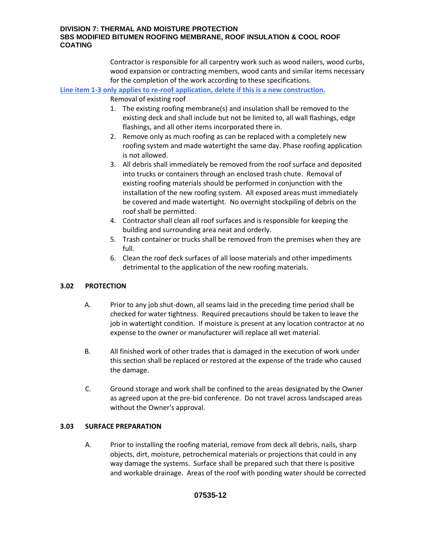Contractor is responsible for all carpentry work such as wood nailers, wood curbs, wood expansion or contracting members, wood cants and similar items necessary for the completion of the work according to these specifications.

**Line item 1-3 only applies to re-roof application, delete if this is a new construction.**  Removal of existing roof

- 1. The existing roofing membrane(s) and insulation shall be removed to the existing deck and shall include but not be limited to, all wall flashings, edge flashings, and all other items incorporated there in.
- 2. Remove only as much roofing as can be replaced with a completely new roofing system and made watertight the same day. Phase roofing application is not allowed.
- 3. All debris shall immediately be removed from the roof surface and deposited into trucks or containers through an enclosed trash chute. Removal of existing roofing materials should be performed in conjunction with the installation of the new roofing system. All exposed areas must immediately be covered and made watertight. No overnight stockpiling of debris on the roof shall be permitted.
- 4. Contractor shall clean all roof surfaces and is responsible for keeping the building and surrounding area neat and orderly.
- 5. Trash container or trucks shall be removed from the premises when they are full.
- 6. Clean the roof deck surfaces of all loose materials and other impediments detrimental to the application of the new roofing materials.

# **3.02 PROTECTION**

- A. Prior to any job shut-down, all seams laid in the preceding time period shall be checked for water tightness. Required precautions should be taken to leave the job in watertight condition. If moisture is present at any location contractor at no expense to the owner or manufacturer will replace all wet material.
- B. All finished work of other trades that is damaged in the execution of work under this section shall be replaced or restored at the expense of the trade who caused the damage.
- C. Ground storage and work shall be confined to the areas designated by the Owner as agreed upon at the pre-bid conference. Do not travel across landscaped areas without the Owner's approval.

# **3.03 SURFACE PREPARATION**

A. Prior to installing the roofing material, remove from deck all debris, nails, sharp objects, dirt, moisture, petrochemical materials or projections that could in any way damage the systems. Surface shall be prepared such that there is positive and workable drainage. Areas of the roof with ponding water should be corrected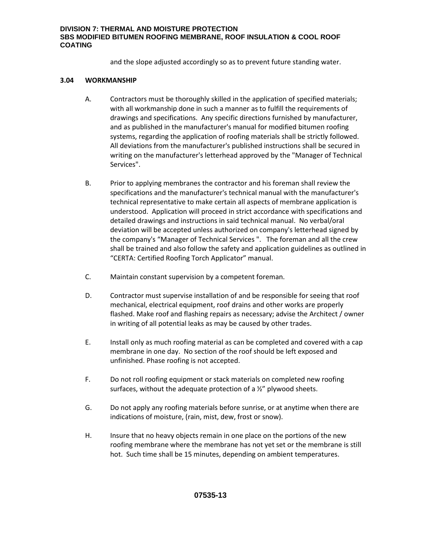and the slope adjusted accordingly so as to prevent future standing water.

### **3.04 WORKMANSHIP**

- A. Contractors must be thoroughly skilled in the application of specified materials; with all workmanship done in such a manner as to fulfill the requirements of drawings and specifications. Any specific directions furnished by manufacturer, and as published in the manufacturer's manual for modified bitumen roofing systems, regarding the application of roofing materials shall be strictly followed. All deviations from the manufacturer's published instructions shall be secured in writing on the manufacturer's letterhead approved by the "Manager of Technical Services".
- B. Prior to applying membranes the contractor and his foreman shall review the specifications and the manufacturer's technical manual with the manufacturer's technical representative to make certain all aspects of membrane application is understood. Application will proceed in strict accordance with specifications and detailed drawings and instructions in said technical manual. No verbal/oral deviation will be accepted unless authorized on company's letterhead signed by the company's "Manager of Technical Services ". The foreman and all the crew shall be trained and also follow the safety and application guidelines as outlined in "CERTA: Certified Roofing Torch Applicator" manual.
- C. Maintain constant supervision by a competent foreman.
- D. Contractor must supervise installation of and be responsible for seeing that roof mechanical, electrical equipment, roof drains and other works are properly flashed. Make roof and flashing repairs as necessary; advise the Architect / owner in writing of all potential leaks as may be caused by other trades.
- E. Install only as much roofing material as can be completed and covered with a cap membrane in one day. No section of the roof should be left exposed and unfinished. Phase roofing is not accepted.
- F. Do not roll roofing equipment or stack materials on completed new roofing surfaces, without the adequate protection of a ½" plywood sheets.
- G. Do not apply any roofing materials before sunrise, or at anytime when there are indications of moisture, (rain, mist, dew, frost or snow).
- H. Insure that no heavy objects remain in one place on the portions of the new roofing membrane where the membrane has not yet set or the membrane is still hot. Such time shall be 15 minutes, depending on ambient temperatures.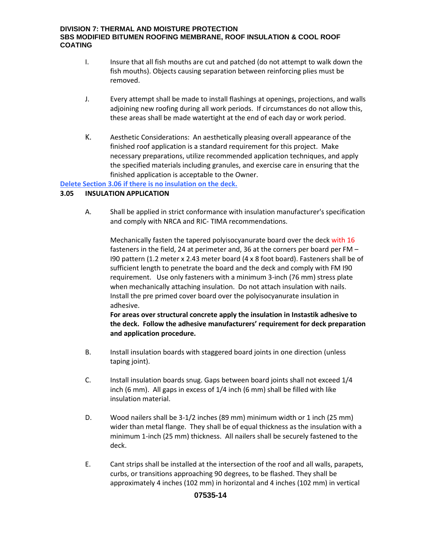- I. Insure that all fish mouths are cut and patched (do not attempt to walk down the fish mouths). Objects causing separation between reinforcing plies must be removed.
- J. Every attempt shall be made to install flashings at openings, projections, and walls adjoining new roofing during all work periods. If circumstances do not allow this, these areas shall be made watertight at the end of each day or work period.
- K. Aesthetic Considerations: An aesthetically pleasing overall appearance of the finished roof application is a standard requirement for this project. Make necessary preparations, utilize recommended application techniques, and apply the specified materials including granules, and exercise care in ensuring that the finished application is acceptable to the Owner.

**Delete Section 3.06 if there is no insulation on the deck.** 

#### **3.05 INSULATION APPLICATION**

A. Shall be applied in strict conformance with insulation manufacturer's specification and comply with NRCA and RIC- TIMA recommendations.

Mechanically fasten the tapered polyisocyanurate board over the deck with 16 fasteners in the field, 24 at perimeter and, 36 at the corners per board per FM – I90 pattern (1.2 meter x 2.43 meter board (4 x 8 foot board). Fasteners shall be of sufficient length to penetrate the board and the deck and comply with FM I90 requirement. Use only fasteners with a minimum 3-inch (76 mm) stress plate when mechanically attaching insulation. Do not attach insulation with nails. Install the pre primed cover board over the polyisocyanurate insulation in adhesive.

**For areas over structural concrete apply the insulation in Instastik adhesive to the deck. Follow the adhesive manufacturers' requirement for deck preparation and application procedure.** 

- B. Install insulation boards with staggered board joints in one direction (unless taping joint).
- C. Install insulation boards snug. Gaps between board joints shall not exceed 1/4 inch (6 mm). All gaps in excess of 1/4 inch (6 mm) shall be filled with like insulation material.
- D. Wood nailers shall be 3-1/2 inches (89 mm) minimum width or 1 inch (25 mm) wider than metal flange. They shall be of equal thickness as the insulation with a minimum 1-inch (25 mm) thickness. All nailers shall be securely fastened to the deck.
- E. Cant strips shall be installed at the intersection of the roof and all walls, parapets, curbs, or transitions approaching 90 degrees, to be flashed. They shall be approximately 4 inches (102 mm) in horizontal and 4 inches (102 mm) in vertical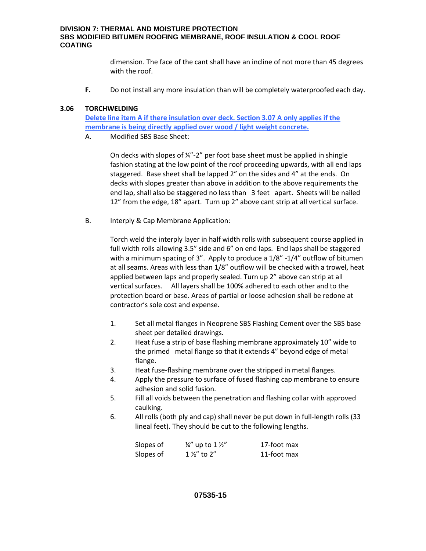dimension. The face of the cant shall have an incline of not more than 45 degrees with the roof.

**F.** Do not install any more insulation than will be completely waterproofed each day.

#### **3.06 TORCHWELDING**

**Delete line item A if there insulation over deck. Section 3.07 A only applies if the membrane is being directly applied over wood / light weight concrete.** 

A. Modified SBS Base Sheet:

On decks with slopes of ¼"-2" per foot base sheet must be applied in shingle fashion stating at the low point of the roof proceeding upwards, with all end laps staggered. Base sheet shall be lapped 2" on the sides and 4" at the ends. On decks with slopes greater than above in addition to the above requirements the end lap, shall also be staggered no less than 3 feet apart. Sheets will be nailed 12" from the edge, 18" apart. Turn up 2" above cant strip at all vertical surface.

B. Interply & Cap Membrane Application:

Torch weld the interply layer in half width rolls with subsequent course applied in full width rolls allowing 3.5" side and 6" on end laps. End laps shall be staggered with a minimum spacing of 3". Apply to produce a 1/8" -1/4" outflow of bitumen at all seams. Areas with less than 1/8" outflow will be checked with a trowel, heat applied between laps and properly sealed. Turn up 2" above can strip at all vertical surfaces. All layers shall be 100% adhered to each other and to the protection board or base. Areas of partial or loose adhesion shall be redone at contractor's sole cost and expense.

- 1. Set all metal flanges in Neoprene SBS Flashing Cement over the SBS base sheet per detailed drawings.
- 2. Heat fuse a strip of base flashing membrane approximately 10" wide to the primed metal flange so that it extends 4" beyond edge of metal flange.
- 3. Heat fuse-flashing membrane over the stripped in metal flanges.
- 4. Apply the pressure to surface of fused flashing cap membrane to ensure adhesion and solid fusion.
- 5. Fill all voids between the penetration and flashing collar with approved caulking.
- 6. All rolls (both ply and cap) shall never be put down in full-length rolls (33 lineal feet). They should be cut to the following lengths.

| Slopes of | $\frac{1}{4}$ " up to 1 $\frac{1}{2}$ " | 17-foot max |
|-----------|-----------------------------------------|-------------|
| Slopes of | $1\frac{1}{2}$ to $2"$                  | 11-foot max |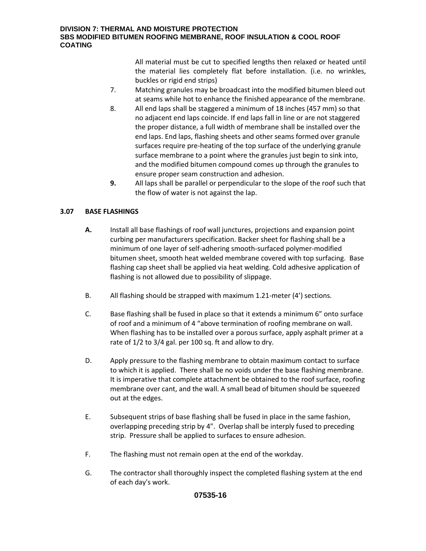All material must be cut to specified lengths then relaxed or heated until the material lies completely flat before installation. (i.e. no wrinkles, buckles or rigid end strips)

- 7. Matching granules may be broadcast into the modified bitumen bleed out at seams while hot to enhance the finished appearance of the membrane.
- 8. All end laps shall be staggered a minimum of 18 inches (457 mm) so that no adjacent end laps coincide. If end laps fall in line or are not staggered the proper distance, a full width of membrane shall be installed over the end laps. End laps, flashing sheets and other seams formed over granule surfaces require pre-heating of the top surface of the underlying granule surface membrane to a point where the granules just begin to sink into, and the modified bitumen compound comes up through the granules to ensure proper seam construction and adhesion.
- **9.** All laps shall be parallel or perpendicular to the slope of the roof such that the flow of water is not against the lap.

# **3.07 BASE FLASHINGS**

- **A.** Install all base flashings of roof wall junctures, projections and expansion point curbing per manufacturers specification. Backer sheet for flashing shall be a minimum of one layer of self-adhering smooth-surfaced polymer-modified bitumen sheet, smooth heat welded membrane covered with top surfacing. Base flashing cap sheet shall be applied via heat welding. Cold adhesive application of flashing is not allowed due to possibility of slippage.
- B. All flashing should be strapped with maximum 1.21-meter (4') sections.
- C. Base flashing shall be fused in place so that it extends a minimum 6" onto surface of roof and a minimum of 4 "above termination of roofing membrane on wall. When flashing has to be installed over a porous surface, apply asphalt primer at a rate of 1/2 to 3/4 gal. per 100 sq. ft and allow to dry.
- D. Apply pressure to the flashing membrane to obtain maximum contact to surface to which it is applied. There shall be no voids under the base flashing membrane. It is imperative that complete attachment be obtained to the roof surface, roofing membrane over cant, and the wall. A small bead of bitumen should be squeezed out at the edges.
- E. Subsequent strips of base flashing shall be fused in place in the same fashion, overlapping preceding strip by 4". Overlap shall be interply fused to preceding strip. Pressure shall be applied to surfaces to ensure adhesion.
- F. The flashing must not remain open at the end of the workday.
- G. The contractor shall thoroughly inspect the completed flashing system at the end of each day's work.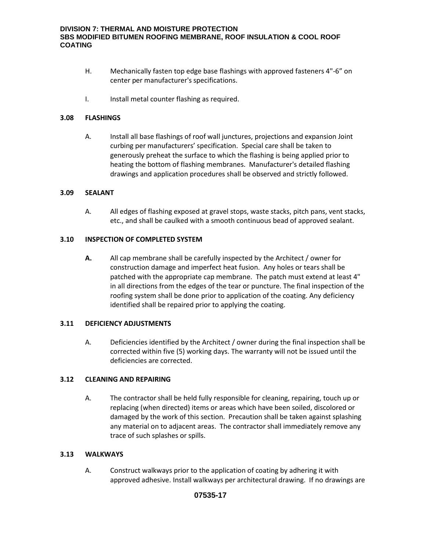- H. Mechanically fasten top edge base flashings with approved fasteners 4"-6" on center per manufacturer's specifications.
- I. Install metal counter flashing as required.

#### **3.08 FLASHINGS**

A. Install all base flashings of roof wall junctures, projections and expansion Joint curbing per manufacturers' specification. Special care shall be taken to generously preheat the surface to which the flashing is being applied prior to heating the bottom of flashing membranes. Manufacturer's detailed flashing drawings and application procedures shall be observed and strictly followed.

#### **3.09 SEALANT**

A. All edges of flashing exposed at gravel stops, waste stacks, pitch pans, vent stacks, etc., and shall be caulked with a smooth continuous bead of approved sealant.

#### **3.10 INSPECTION OF COMPLETED SYSTEM**

**A.** All cap membrane shall be carefully inspected by the Architect / owner for construction damage and imperfect heat fusion. Any holes or tears shall be patched with the appropriate cap membrane. The patch must extend at least 4" in all directions from the edges of the tear or puncture. The final inspection of the roofing system shall be done prior to application of the coating. Any deficiency identified shall be repaired prior to applying the coating.

#### **3.11 DEFICIENCY ADJUSTMENTS**

A. Deficiencies identified by the Architect / owner during the final inspection shall be corrected within five (5) working days. The warranty will not be issued until the deficiencies are corrected.

# **3.12 CLEANING AND REPAIRING**

A. The contractor shall be held fully responsible for cleaning, repairing, touch up or replacing (when directed) items or areas which have been soiled, discolored or damaged by the work of this section. Precaution shall be taken against splashing any material on to adjacent areas. The contractor shall immediately remove any trace of such splashes or spills.

#### **3.13 WALKWAYS**

A. Construct walkways prior to the application of coating by adhering it with approved adhesive. Install walkways per architectural drawing. If no drawings are

# **07535-17**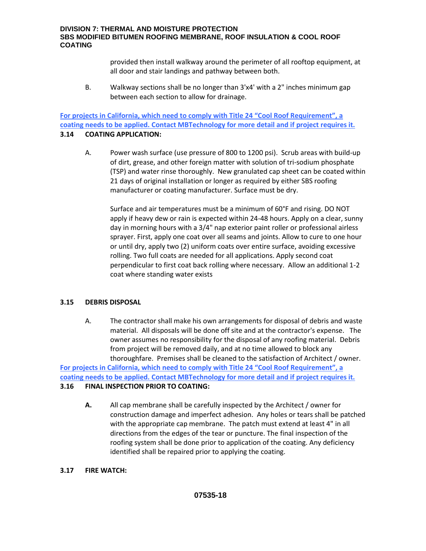provided then install walkway around the perimeter of all rooftop equipment, at all door and stair landings and pathway between both.

B. Walkway sections shall be no longer than 3'x4' with a 2" inches minimum gap between each section to allow for drainage.

**For projects in California, which need to comply with Title 24 "Cool Roof Requirement", a coating needs to be applied. Contact MBTechnology for more detail and if project requires it.**

#### **3.14 COATING APPLICATION:**

A. Power wash surface (use pressure of 800 to 1200 psi). Scrub areas with build-up of dirt, grease, and other foreign matter with solution of tri-sodium phosphate (TSP) and water rinse thoroughly. New granulated cap sheet can be coated within 21 days of original installation or longer as required by either SBS roofing manufacturer or coating manufacturer. Surface must be dry.

Surface and air temperatures must be a minimum of 60°F and rising. DO NOT apply if heavy dew or rain is expected within 24-48 hours. Apply on a clear, sunny day in morning hours with a 3/4" nap exterior paint roller or professional airless sprayer. First, apply one coat over all seams and joints. Allow to cure to one hour or until dry, apply two (2) uniform coats over entire surface, avoiding excessive rolling. Two full coats are needed for all applications. Apply second coat perpendicular to first coat back rolling where necessary. Allow an additional 1-2 coat where standing water exists

#### **3.15 DEBRIS DISPOSAL**

A. The contractor shall make his own arrangements for disposal of debris and waste material. All disposals will be done off site and at the contractor's expense. The owner assumes no responsibility for the disposal of any roofing material. Debris from project will be removed daily, and at no time allowed to block any thoroughfare. Premises shall be cleaned to the satisfaction of Architect / owner.

**For projects in California, which need to comply with Title 24 "Cool Roof Requirement", a coating needs to be applied. Contact MBTechnology for more detail and if project requires it.**

# **3.16 FINAL INSPECTION PRIOR TO COATING:**

**A.** All cap membrane shall be carefully inspected by the Architect / owner for construction damage and imperfect adhesion. Any holes or tears shall be patched with the appropriate cap membrane. The patch must extend at least 4" in all directions from the edges of the tear or puncture. The final inspection of the roofing system shall be done prior to application of the coating. Any deficiency identified shall be repaired prior to applying the coating.

#### **3.17 FIRE WATCH:**